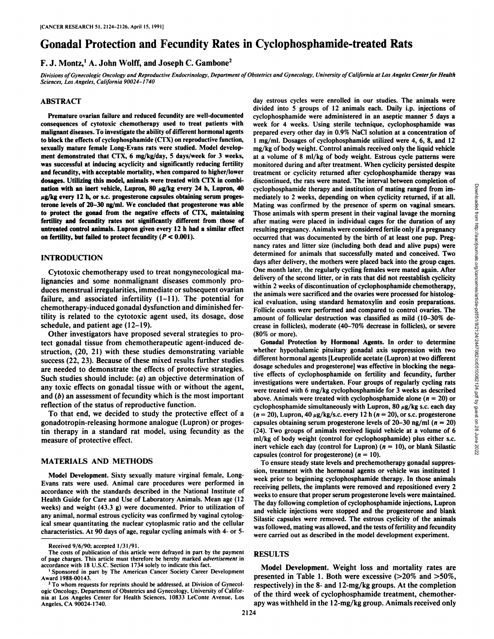# Gonadal Protection and Fecundity Rates in Cyclophosphamide-treated Rats

## F. J. Montz,<sup>1</sup> A. John Wolff, and Joseph C. Gambone<sup>2</sup>

Divisions of Gynecologic Oncology and Reproductive Endocrinology, Department of Obstetrics and Gynecology, University of California at Los Angeles Center for Health *Sciences, Los Angeles, California 90024-1740*

## ABSTRACT

Premature ovarian failure and reduced fecundity are well-documented consequences of cytotoxic chemotherapy used to treat patients with malignant diseases. To investigate the ability of different hormonal agents to block the effects of cyclophosphamide (CTX) on reproductive function, sexually mature female Long-Evans rats were studied. Model develop ment demonstrated that CTX, 6 mg/kg/day, 5 days/week for 3 weeks, was successful at inducing acyclicity and significantly reducing fertility and fecundity, with acceptable mortality, when compared to higher/lower dosages. Utilizing this model, animals were treated with CTX in combi nation with an inert vehicle, Lupron, 80  $\mu$ g/kg every 24 h, Lupron, 40  $\mu$ g/kg every 12 h, or s.c. progesterone capsules obtaining serum progesterone levels of 20-30 ng/ml. We concluded that progesterone was able to protect the gonad from the negative effects of CTX, maintaining fertility and fecundity rates not significantly different from those of untreated control animals. Lupron given every 12 h had a similar effect on fertility, but failed to protect fecundity ( $P < 0.001$ ).

### INTRODUCTION

Cytotoxic chemotherapy used to treat nongynecological ma lignancies and some nonmalignant diseases commonly pro duces menstrual irregularities, immediate or subsequent ovarian failure, and associated infertility (1-11). The potential for chemotherapy-induced gonadal dysfunction and diminished fer tility is related to the cytotoxic agent used, its dosage, dose schedule, and patient age (12-19).

Other investigators have proposed several strategies to pro tect gonadal tissue from chemotherapeutic agent-induced de struction, (20, 21) with these studies demonstrating variable success (22, 23). Because of these mixed results further studies are needed to demonstrate the effects of protective strategies. Such studies should include: (a) an objective determination of any toxic effects on gonadal tissue with or without the agent, and (b) an assessment of fecundity which is the most important reflection of the status of reproductive function.

To that end, we decided to study the protective effect of a gonadotropin-releasing hormone analogue (Lupron) or progestin therapy in a standard rat model, using fecundity as the measure of protective effect.

## MATERIALS AND METHODS

Model Development. Sixty sexually mature virginal female, Long-Evans rats were used. Animal care procedures were performed in accordance with the standards described in the National Institute of Health Guide for Care and Use of Laboratory Animals. Mean age (12 weeks) and weight (43.3 g) were documented. Prior to utilization of any animal, normal estrous cyclicity was confirmed by vaginal cytological smear quantitating the nuclear cytoplasmic ratio and the cellular characteristics. At 90 days of age, regular cycling animals with 4-or 5day estrous cycles were enrolled in our studies. The animals were divided into 5 groups of 12 animals each. Daily i.p. injections of cyclophosphamide were administered in an aseptic manner 5 days a week for 4 weeks. Using sterile technique, cyclophosphamide was prepared every other day in 0.9% NaCl solution at a concentration of 1 mg/ml. Dosages of cyclophosphamide utilized were 4, 6, 8, and 12 mg/kg of body weight. Control animals received only the liquid vehicle at a volume of 8 ml/kg of body weight. Estrous cycle patterns were monitored during and after treatment. When cyclicity persisted despite treatment or cyclicity returned after cyclophosphamide therapy was discontinued, the rats were mated. The interval between completion of cyclophosphamide therapy and institution of mating ranged from im-<br>mediately to 2 weeks, depending on when cyclicity returned, if at all,<br>mating was confirmed by the presence of sperm on vaginal smears.<br>Those animals with mediately to 2 weeks, depending on when cyclicity returned, if at all. Mating was confirmed by the presence of sperm on vaginal smears. Those animals with sperm present in their vaginal lavage the morning after mating were placed in individual cages for the duration of any resulting pregnancy. Animals were considered fertile only if a pregnancy occurred that was documented by the birth of at least one pup. Pregnancy rates and litter size (including both dead and alive pups) were determined for animals that successfully mated and conceived. Two days after delivery, the mothers were placed back into the group cages. One month later, the regularly cycling females were mated again. After delivery of the second litter, or in rats that did not reestablish cyclicity within 2 weeks of discontinuation of cyclophosphamide chemotherapy, the animals were sacrificed and the ovaries were processed for histological evaluation, using standard hematoxylin and eosin preparations. Follicle counts were performed and compared to control ovaries. The amount of follicular destruction was classified as mild (10-30% de crease in follicles), moderate (40-70% decrease in follicles), or severe (80% or more).

Gonadal Protection by Hormonal Agents. In order to determine whether hypothalamic pituitary gonadal axis suppression with two different hormonal agents [Leuprolide acetate (Lupron) at two different dosage schedules and progesterone] was effective in blocking the nega tive effects of cyclophosphamide on fertility and fecundity, further investigations were undertaken. Four groups of regularly cycling rats were treated with 6 mg/kg cyclophosphamide for 3 weeks as described above. Animals were treated with cyclophosphamide alone ( $n = 20$ ) or cyclophosphamide simultaneously with Lupron, 80  $\mu$ g/kg s.c. each day  $(n = 20)$ , Lupron,  $40 \mu g/kg/s.c.$  every 12 h  $(n = 20)$ , or s.c. progesterone capsules obtaining serum progesterone levels of 20-30 ng/ml ( $n = 20$ )  $(24)$ . Two groups of animals received liquid vehicle at a volume of 6 ml/kg of body weight (control for cyclophosphamide) plus either s.c. inert vehicle each day (control for Lupron)  $(n = 10)$ , or blank Silastic capsules (control for progesterone)  $(n = 10)$ .

To ensure steady state levels and prechemotherapy gonadal suppres sion, treatment with the hormonal agents or vehicle was instituted 1 week prior to beginning cyclophosphamide therapy. In those animals receiving pellets, the implants were removed and repositioned every 2 weeks to ensure that proper serum progesterone levels were maintained. The day following completion of cyclophosphamide injections, Lupron and vehicle injections were stopped and the progesterone and blank Silastic capsules were removed. The estrous cyclicity of the animals was followed, mating was allowed, and the tests of fertility and fecundity were carried out as described in the model development experiment.

#### RESULTS

Model Development. Weight loss and mortality rates are presented in Table 1. Both were excessive  $(>=20\%$  and  $>=50\%$ , respectively) in the 8- and 12-mg/kg groups. At the completion of the third week of cyclophosphamide treatment, chemotherapy was withheld in the 12-mg/kg group. Animals received only

Received 9/6/90: accepted 1/31/91.

The costs of publication of this article were defrayed in part by the payment of page charges. This article must therefore be hereby marked advertisement in accordance with 18 U.S.C. Section 1734 solely to indicate this fact.

<sup>&</sup>lt;sup>1</sup> Sponsored in part by The American Cancer Society Career Development Award 1988-00143.

<sup>&</sup>lt;sup>2</sup> To whom requests for reprints should be addressed, at Division of Gynecologic Oncology, Department of Obstetrics and Gynecology, University of Califor nia at Los Angeles Center for Health Sciences, 10833 LeConte Avenue, Los Angeles. CA 90024-1740.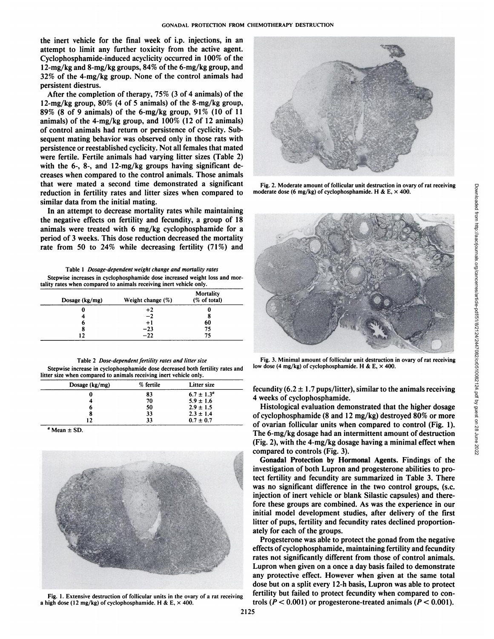the inert vehicle for the final week of i.p. injections, in an attempt to limit any further toxicity from the active agent. Cyclophosphamide-induced acyclicity occurred in 100% of the 12-mg/kg and 8-mg/kg groups, 84% of the 6-mg/kg group, and 32% of the 4-mg/kg group. None of the control animals had persistent diestrus.

After the completion of therapy, 75% (3 of 4 animals) of the 12-mg/kg group,  $80\%$  (4 of 5 animals) of the 8-mg/kg group, 89% (8 of 9 animals) of the 6-mg/kg group, 91% (10 of 11 animals) of the 4-mg/kg group, and  $100\%$  (12 of 12 animals) of control animals had return or persistence of cyclicity. Sub sequent mating behavior was observed only in those rats with persistence or reestablished cyclicity. Not all females that mated were fertile. Fertile animals had varying litter sizes (Table 2) with the 6-, 8-, and 12-mg/kg groups having significant de creases when compared to the control animals. Those animals that were mated a second time demonstrated a significant reduction in fertility rates and litter sizes when compared to similar data from the initial mating.

In an attempt to decrease mortality rates while maintaining the negative effects on fertility and fecundity, a group of 18 animals were treated with 6 mg/kg cyclophosphamide for a period of 3 weeks. This dose reduction decreased the mortality rate from 50 to 24% while decreasing fertility  $(71\%)$  and

Table I Dosage-dependent weight change and mortality rates Stepwise increases in cyclophosphamide dose increased weight loss and mor tality rates when compared to animals receiving inert vehicle only.

| Dosage (kg/mg) | Weight change $(\%)$ | Mortality<br>(% of total) |  |
|----------------|----------------------|---------------------------|--|
|                | +2                   |                           |  |
|                | $-2$                 |                           |  |
| o              | $+1$                 | 60                        |  |
|                | $-23$                | 75                        |  |
| 12             | $-22$                | 75                        |  |

Table 2 Dose-dependent fertility rates and litter size Stepwise increase in cyclophosphamide dose decreased both fertility rates and litter size when compared to animals receiving inert vehicle only.

| Dosage $(kg/mg)$ | % fertile | <b>Litter size</b>    |  |
|------------------|-----------|-----------------------|--|
| O                | 83        | $6.7 \pm 1.3^{\circ}$ |  |
|                  | 70        | $5.9 \pm 1.6$         |  |
| o                | 50        | $2.9 \pm 1.5$         |  |
| 8                | 33        | $2.3 \pm 1.4$         |  |
| 12               | 33        | $0.7 \pm 0.7$         |  |

*Mean ±SD.*



Fig. 1. Extensive destruction of follicular units in the ovary of a rat receiving a high dose (12 mg/kg) of cyclophosphamide. H & E,  $\times$  400.



moderate dose (6 mg/kg) of cyclophosphamide. H & E,  $\times$  400.



Fig. 3. Minimal amount of follicular unit destruction in ovary of rat receiving low dose (4 mg/kg) of cyclophosphamide. H & E,  $\times$  400.

fecundity (6.2  $\pm$  1.7 pups/litter), similar to the animals receiving 4 weeks of cyclophosphamide.

Histological evaluation demonstrated that the higher dosage of cyclophosphamide (8 and 12 mg/kg) destroyed 80% or more of ovarian follicular units when compared to control (Fig. 1). The 6-mg/kg dosage had an intermittent amount of destruction (Fig. 2), with the 4-mg/kg dosage having a minimal effect when compared to controls (Fig. 3).

Gonadal Protection by Hormonal Agents. Findings of the investigation of both Lupron and progesterone abilities to pro tect fertility and fecundity are summarized in Table 3. There was no significant difference in the two control groups, (s.c. injection of inert vehicle or blank Silastic capsules) and there fore these groups are combined. As was the experience in our initial model development studies, after delivery of the first litter of pups, fertility and fecundity rates declined proportion ately for each of the groups.

Progesterone was able to protect the gonad from the negative effects of cyclophosphamide, maintaining fertility and fecundity rates not significantly different from those of control animals. Lupron when given on a once a day basis failed to demonstrate any protective effect. However when given at the same total dose but on a split every 12-h basis, Lupron was able to protect fertility but failed to protect fecundity when compared to con trols ( $P < 0.001$ ) or progesterone-treated animals ( $P < 0.001$ ).